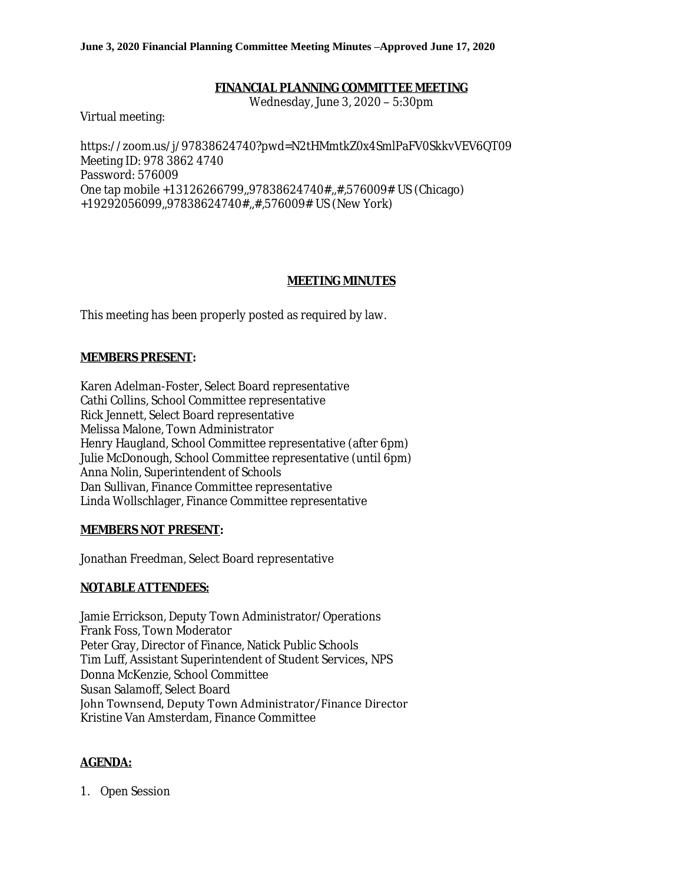#### **June 3, 2020 Financial Planning Committee Meeting Minutes –Approved June 17, 2020**

### **FINANCIAL PLANNING COMMITTEE MEETING**

Wednesday, June 3, 2020 – 5:30pm

Virtual meeting:

https://zoom.us/j/97838624740?pwd=N2tHMmtkZ0x4SmlPaFV0SkkvVEV6QT09 Meeting ID: 978 3862 4740 Password: 576009 One tap mobile +13126266799,,97838624740#,,#,576009# US (Chicago) +19292056099,,97838624740#,,#,576009# US (New York)

### **MEETING MINUTES**

This meeting has been properly posted as required by law.

### **MEMBERS PRESENT:**

Karen Adelman-Foster, Select Board representative Cathi Collins, School Committee representative Rick Jennett, Select Board representative Melissa Malone, Town Administrator Henry Haugland, School Committee representative (after 6pm) Julie McDonough, School Committee representative (until 6pm) Anna Nolin, Superintendent of Schools Dan Sullivan, Finance Committee representative Linda Wollschlager, Finance Committee representative

### **MEMBERS NOT PRESENT:**

Jonathan Freedman, Select Board representative

### **NOTABLE ATTENDEES:**

Jamie Errickson, Deputy Town Administrator/Operations Frank Foss, Town Moderator Peter Gray, Director of Finance, Natick Public Schools Tim Luff, Assistant Superintendent of Student Services, NPS Donna McKenzie, School Committee Susan Salamoff, Select Board John Townsend, Deputy Town Administrator/Finance Director Kristine Van Amsterdam, Finance Committee

### **AGENDA:**

1. Open Session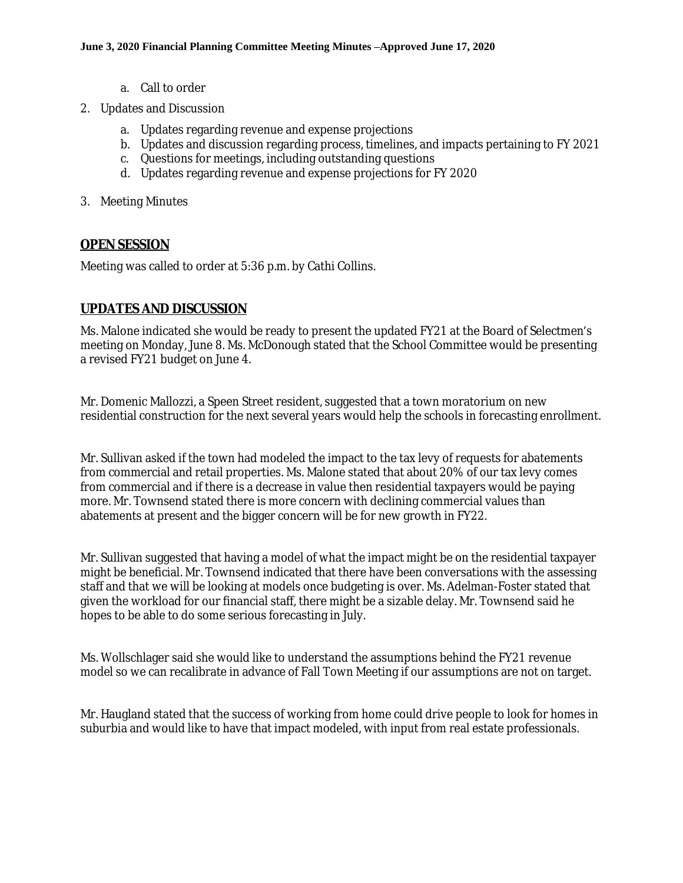- a. Call to order
- 2. Updates and Discussion
	- a. Updates regarding revenue and expense projections
	- b. Updates and discussion regarding process, timelines, and impacts pertaining to FY 2021
	- c. Questions for meetings, including outstanding questions
	- d. Updates regarding revenue and expense projections for FY 2020
- 3. Meeting Minutes

### **OPEN SESSION**

Meeting was called to order at 5:36 p.m. by Cathi Collins.

## **UPDATES AND DISCUSSION**

Ms. Malone indicated she would be ready to present the updated FY21 at the Board of Selectmen's meeting on Monday, June 8. Ms. McDonough stated that the School Committee would be presenting a revised FY21 budget on June 4.

Mr. Domenic Mallozzi, a Speen Street resident, suggested that a town moratorium on new residential construction for the next several years would help the schools in forecasting enrollment.

Mr. Sullivan asked if the town had modeled the impact to the tax levy of requests for abatements from commercial and retail properties. Ms. Malone stated that about 20% of our tax levy comes from commercial and if there is a decrease in value then residential taxpayers would be paying more. Mr. Townsend stated there is more concern with declining commercial values than abatements at present and the bigger concern will be for new growth in FY22.

Mr. Sullivan suggested that having a model of what the impact might be on the residential taxpayer might be beneficial. Mr. Townsend indicated that there have been conversations with the assessing staff and that we will be looking at models once budgeting is over. Ms. Adelman-Foster stated that given the workload for our financial staff, there might be a sizable delay. Mr. Townsend said he hopes to be able to do some serious forecasting in July.

Ms. Wollschlager said she would like to understand the assumptions behind the FY21 revenue model so we can recalibrate in advance of Fall Town Meeting if our assumptions are not on target.

Mr. Haugland stated that the success of working from home could drive people to look for homes in suburbia and would like to have that impact modeled, with input from real estate professionals.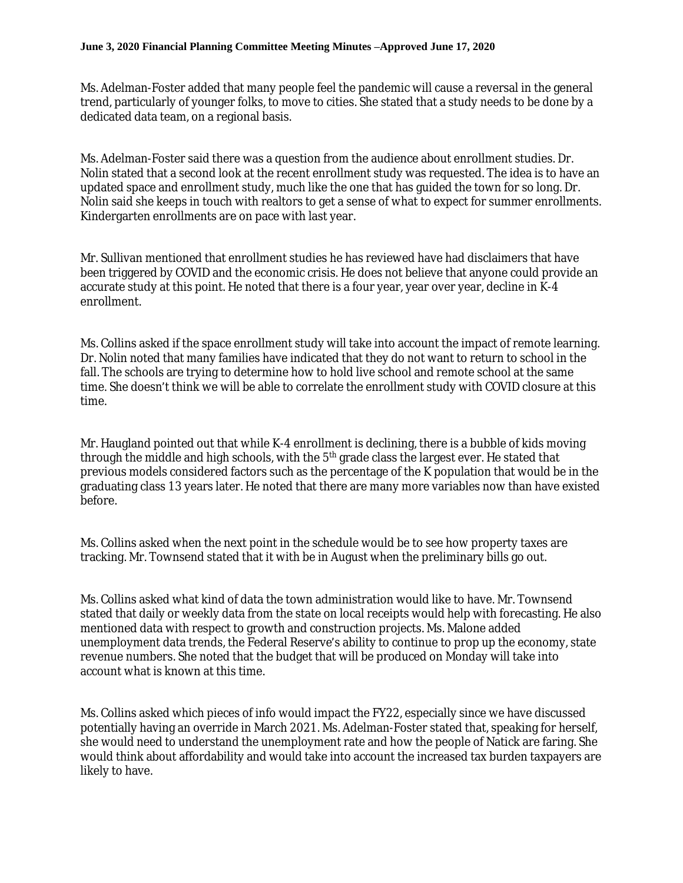Ms. Adelman-Foster added that many people feel the pandemic will cause a reversal in the general trend, particularly of younger folks, to move to cities. She stated that a study needs to be done by a dedicated data team, on a regional basis.

Ms. Adelman-Foster said there was a question from the audience about enrollment studies. Dr. Nolin stated that a second look at the recent enrollment study was requested. The idea is to have an updated space and enrollment study, much like the one that has guided the town for so long. Dr. Nolin said she keeps in touch with realtors to get a sense of what to expect for summer enrollments. Kindergarten enrollments are on pace with last year.

Mr. Sullivan mentioned that enrollment studies he has reviewed have had disclaimers that have been triggered by COVID and the economic crisis. He does not believe that anyone could provide an accurate study at this point. He noted that there is a four year, year over year, decline in K-4 enrollment.

Ms. Collins asked if the space enrollment study will take into account the impact of remote learning. Dr. Nolin noted that many families have indicated that they do not want to return to school in the fall. The schools are trying to determine how to hold live school and remote school at the same time. She doesn't think we will be able to correlate the enrollment study with COVID closure at this time.

Mr. Haugland pointed out that while K-4 enrollment is declining, there is a bubble of kids moving through the middle and high schools, with the  $5<sup>th</sup>$  grade class the largest ever. He stated that previous models considered factors such as the percentage of the K population that would be in the graduating class 13 years later. He noted that there are many more variables now than have existed before.

Ms. Collins asked when the next point in the schedule would be to see how property taxes are tracking. Mr. Townsend stated that it with be in August when the preliminary bills go out.

Ms. Collins asked what kind of data the town administration would like to have. Mr. Townsend stated that daily or weekly data from the state on local receipts would help with forecasting. He also mentioned data with respect to growth and construction projects. Ms. Malone added unemployment data trends, the Federal Reserve's ability to continue to prop up the economy, state revenue numbers. She noted that the budget that will be produced on Monday will take into account what is known at this time.

Ms. Collins asked which pieces of info would impact the FY22, especially since we have discussed potentially having an override in March 2021. Ms. Adelman-Foster stated that, speaking for herself, she would need to understand the unemployment rate and how the people of Natick are faring. She would think about affordability and would take into account the increased tax burden taxpayers are likely to have.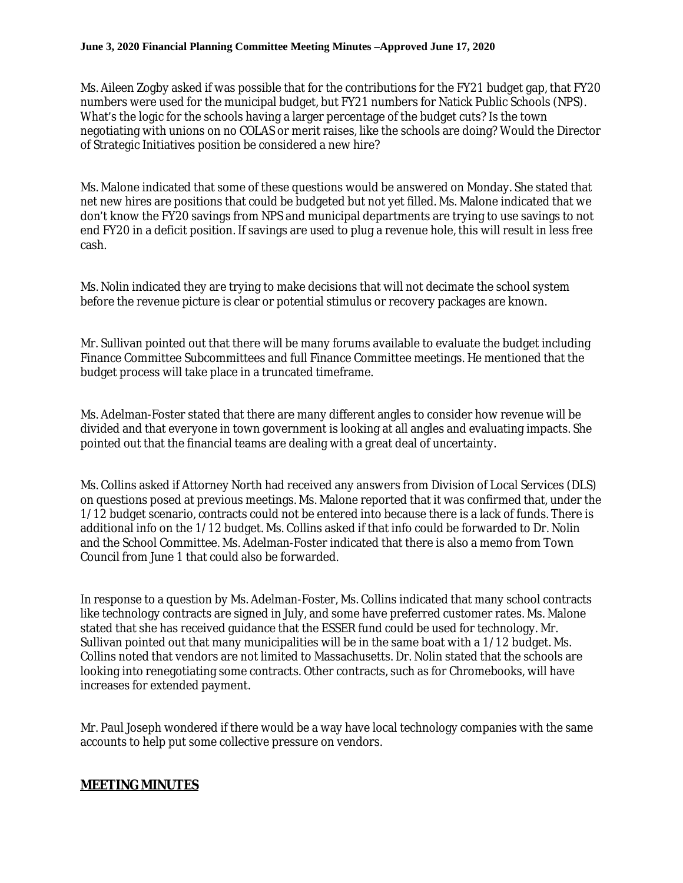#### **June 3, 2020 Financial Planning Committee Meeting Minutes –Approved June 17, 2020**

Ms. Aileen Zogby asked if was possible that for the contributions for the FY21 budget gap, that FY20 numbers were used for the municipal budget, but FY21 numbers for Natick Public Schools (NPS). What's the logic for the schools having a larger percentage of the budget cuts? Is the town negotiating with unions on no COLAS or merit raises, like the schools are doing? Would the Director of Strategic Initiatives position be considered a new hire?

Ms. Malone indicated that some of these questions would be answered on Monday. She stated that net new hires are positions that could be budgeted but not yet filled. Ms. Malone indicated that we don't know the FY20 savings from NPS and municipal departments are trying to use savings to not end FY20 in a deficit position. If savings are used to plug a revenue hole, this will result in less free cash.

Ms. Nolin indicated they are trying to make decisions that will not decimate the school system before the revenue picture is clear or potential stimulus or recovery packages are known.

Mr. Sullivan pointed out that there will be many forums available to evaluate the budget including Finance Committee Subcommittees and full Finance Committee meetings. He mentioned that the budget process will take place in a truncated timeframe.

Ms. Adelman-Foster stated that there are many different angles to consider how revenue will be divided and that everyone in town government is looking at all angles and evaluating impacts. She pointed out that the financial teams are dealing with a great deal of uncertainty.

Ms. Collins asked if Attorney North had received any answers from Division of Local Services (DLS) on questions posed at previous meetings. Ms. Malone reported that it was confirmed that, under the 1/12 budget scenario, contracts could not be entered into because there is a lack of funds. There is additional info on the 1/12 budget. Ms. Collins asked if that info could be forwarded to Dr. Nolin and the School Committee. Ms. Adelman-Foster indicated that there is also a memo from Town Council from June 1 that could also be forwarded.

In response to a question by Ms. Adelman-Foster, Ms. Collins indicated that many school contracts like technology contracts are signed in July, and some have preferred customer rates. Ms. Malone stated that she has received guidance that the ESSER fund could be used for technology. Mr. Sullivan pointed out that many municipalities will be in the same boat with a 1/12 budget. Ms. Collins noted that vendors are not limited to Massachusetts. Dr. Nolin stated that the schools are looking into renegotiating some contracts. Other contracts, such as for Chromebooks, will have increases for extended payment.

Mr. Paul Joseph wondered if there would be a way have local technology companies with the same accounts to help put some collective pressure on vendors.

### **MEETING MINUTES**